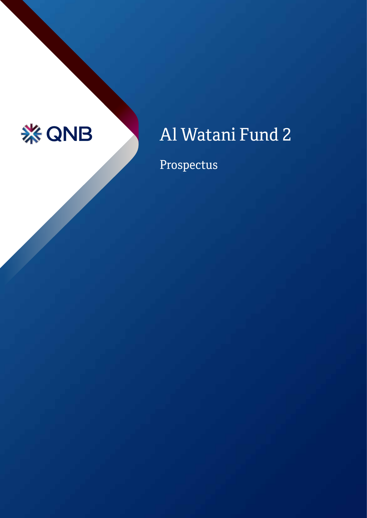# **※QNB**

# Al Watani Fund 2

Prospectus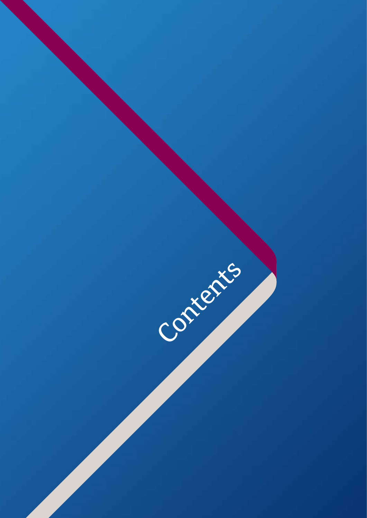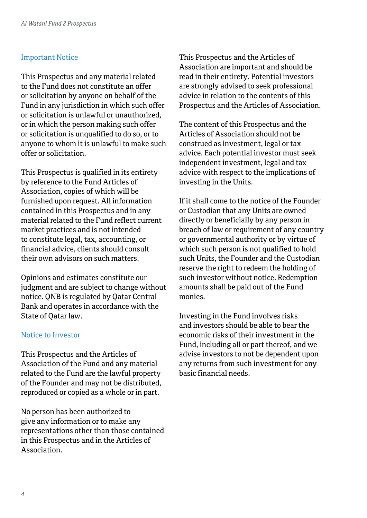#### Important Notice

This Prospectus and any material related to the Fund does not constitute an offer or solicitation by anyone on behalf of the Fund in any jurisdiction in which such offer or solicitation is unlawful or unauthorized, or in which the person making such offer or solicitation is unqualified to do so, or to anyone to whom it is unlawful to make such offer or solicitation.

This Prospectus is qualified in its entirety by reference to the Fund Articles of Association, copies of which will be furnished upon request. All information contained in this Prospectus and in any material related to the Fund reflect current market practices and is not intended to constitute legal, tax, accounting, or financial advice, clients should consult their own advisors on such matters.

Opinions and estimates constitute our judgment and are subject to change without notice. QNB is regulated by Qatar Central Bank and operates in accordance with the State of Qatar law.

#### Notice to Investor

This Prospectus and the Articles of Association of the Fund and any material related to the Fund are the lawful property of the Founder and may not be distributed, reproduced or copied as a whole or in part.

No person has been authorized to give any information or to make any representations other than those contained in this Prospectus and in the Articles of Association.

This Prospectus and the Articles of Association are important and should be read in their entirety. Potential investors are strongly advised to seek professional advice in relation to the contents of this Prospectus and the Articles of Association.

The content of this Prospectus and the Articles of Association should not be construed as investment, legal or tax advice. Each potential investor must seek independent investment, legal and tax advice with respect to the implications of investing in the Units.

If it shall come to the notice of the Founder or Custodian that any Units are owned directly or beneficially by any person in breach of law or requirement of any country or governmental authority or by virtue of which such person is not qualified to hold such Units, the Founder and the Custodian reserve the right to redeem the holding of such investor without notice. Redemption amounts shall be paid out of the Fund monies.

Investing in the Fund involves risks and investors should be able to bear the economic risks of their investment in the Fund, including all or part thereof, and we advise investors to not be dependent upon any returns from such investment for any basic financial needs.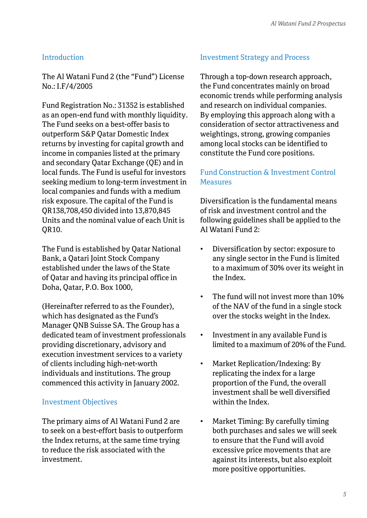#### Introduction

The Al Watani Fund 2 (the "Fund") License No.: I.F/4/2005

Fund Registration No.: 31352 is established as an open-end fund with monthly liquidity. The Fund seeks on a best-offer basis to outperform S&P Qatar Domestic Index returns by investing for capital growth and income in companies listed at the primary and secondary Qatar Exchange (QE) and in local funds. The Fund is useful for investors seeking medium to long-term investment in local companies and funds with a medium risk exposure. The capital of the Fund is QR138,708,450 divided into 13,870,845 Units and the nominal value of each Unit is QR10.

The Fund is established by Qatar National Bank, a Qatari Joint Stock Company established under the laws of the State of Qatar and having its principal office in Doha, Qatar, P.O. Box 1000,

(Hereinafter referred to as the Founder), which has designated as the Fund's Manager QNB Suisse SA. The Group has a dedicated team of investment professionals providing discretionary, advisory and execution investment services to a variety of clients including high-net-worth individuals and institutions. The group commenced this activity in January 2002.

#### Investment Objectives

The primary aims of Al Watani Fund 2 are to seek on a best-effort basis to outperform the Index returns, at the same time trying to reduce the risk associated with the investment.

#### Investment Strategy and Process

Through a top-down research approach, the Fund concentrates mainly on broad economic trends while performing analysis and research on individual companies. By employing this approach along with a consideration of sector attractiveness and weightings, strong, growing companies among local stocks can be identified to constitute the Fund core positions.

# Fund Construction & Investment Control Measures

Diversification is the fundamental means of risk and investment control and the following guidelines shall be applied to the Al Watani Fund 2:

- Diversification by sector: exposure to any single sector in the Fund is limited to a maximum of 30% over its weight in the Index.
- The fund will not invest more than 10% of the NAV of the fund in a single stock over the stocks weight in the Index.
- Investment in any available Fund is limited to a maximum of 20% of the Fund.
- Market Replication/Indexing: By replicating the index for a large proportion of the Fund, the overall investment shall be well diversified within the Index.
- Market Timing: By carefully timing both purchases and sales we will seek to ensure that the Fund will avoid excessive price movements that are against its interests, but also exploit more positive opportunities.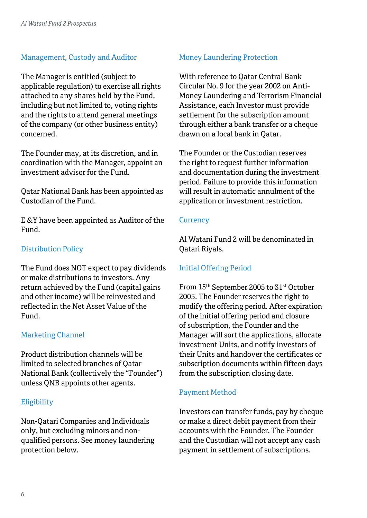#### Management, Custody and Auditor

The Manager is entitled (subject to applicable regulation) to exercise all rights attached to any shares held by the Fund, including but not limited to, voting rights and the rights to attend general meetings of the company (or other business entity) concerned.

The Founder may, at its discretion, and in coordination with the Manager, appoint an investment advisor for the Fund.

Qatar National Bank has been appointed as Custodian of the Fund.

E &Y have been appointed as Auditor of the Fund.

## Distribution Policy

The Fund does NOT expect to pay dividends or make distributions to investors. Any return achieved by the Fund (capital gains and other income) will be reinvested and reflected in the Net Asset Value of the Fund.

#### Marketing Channel

Product distribution channels will be limited to selected branches of Qatar National Bank (collectively the "Founder") unless QNB appoints other agents.

#### **Eligibility**

Non-Qatari Companies and Individuals only, but excluding minors and nonqualified persons. See money laundering protection below.

#### Money Laundering Protection

With reference to Qatar Central Bank Circular No. 9 for the year 2002 on Anti-Money Laundering and Terrorism Financial Assistance, each Investor must provide settlement for the subscription amount through either a bank transfer or a cheque drawn on a local bank in Qatar.

The Founder or the Custodian reserves the right to request further information and documentation during the investment period. Failure to provide this information will result in automatic annulment of the application or investment restriction.

#### **Currency**

Al Watani Fund 2 will be denominated in Qatari Riyals.

#### Initial Offering Period

From 15th September 2005 to 31st October 2005. The Founder reserves the right to modify the offering period. After expiration of the initial offering period and closure of subscription, the Founder and the Manager will sort the applications, allocate investment Units, and notify investors of their Units and handover the certificates or subscription documents within fifteen days from the subscription closing date.

#### Payment Method

Investors can transfer funds, pay by cheque or make a direct debit payment from their accounts with the Founder. The Founder and the Custodian will not accept any cash payment in settlement of subscriptions.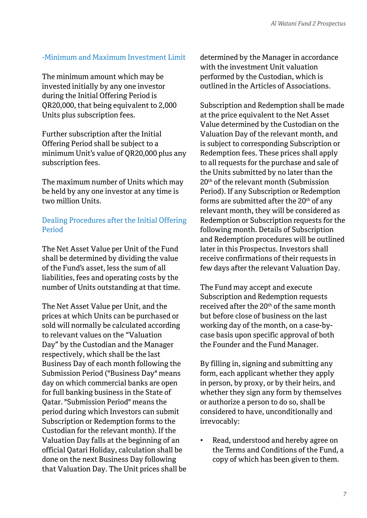#### -Minimum and Maximum Investment Limit

The minimum amount which may be invested initially by any one investor during the Initial Offering Period is QR20,000, that being equivalent to 2,000 Units plus subscription fees.

Further subscription after the Initial Offering Period shall be subject to a minimum Unit's value of QR20,000 plus any subscription fees.

The maximum number of Units which may be held by any one investor at any time is two million Units.

# Dealing Procedures after the Initial Offering Period

The Net Asset Value per Unit of the Fund shall be determined by dividing the value of the Fund's asset, less the sum of all liabilities, fees and operating costs by the number of Units outstanding at that time.

The Net Asset Value per Unit, and the prices at which Units can be purchased or sold will normally be calculated according to relevant values on the "Valuation Day" by the Custodian and the Manager respectively, which shall be the last Business Day of each month following the Submission Period ("Business Day" means day on which commercial banks are open for full banking business in the State of Qatar. "Submission Period" means the period during which Investors can submit Subscription or Redemption forms to the Custodian for the relevant month). If the Valuation Day falls at the beginning of an official Qatari Holiday, calculation shall be done on the next Business Day following that Valuation Day. The Unit prices shall be determined by the Manager in accordance with the investment Unit valuation performed by the Custodian, which is outlined in the Articles of Associations.

Subscription and Redemption shall be made at the price equivalent to the Net Asset Value determined by the Custodian on the Valuation Day of the relevant month, and is subject to corresponding Subscription or Redemption fees. These prices shall apply to all requests for the purchase and sale of the Units submitted by no later than the 20th of the relevant month (Submission Period). If any Subscription or Redemption forms are submitted after the 20th of any relevant month, they will be considered as Redemption or Subscription requests for the following month. Details of Subscription and Redemption procedures will be outlined later in this Prospectus. Investors shall receive confirmations of their requests in few days after the relevant Valuation Day.

The Fund may accept and execute Subscription and Redemption requests received after the 20<sup>th</sup> of the same month but before close of business on the last working day of the month, on a case-bycase basis upon specific approval of both the Founder and the Fund Manager.

By filling in, signing and submitting any form, each applicant whether they apply in person, by proxy, or by their heirs, and whether they sign any form by themselves or authorize a person to do so, shall be considered to have, unconditionally and irrevocably:

• Read, understood and hereby agree on the Terms and Conditions of the Fund, a copy of which has been given to them.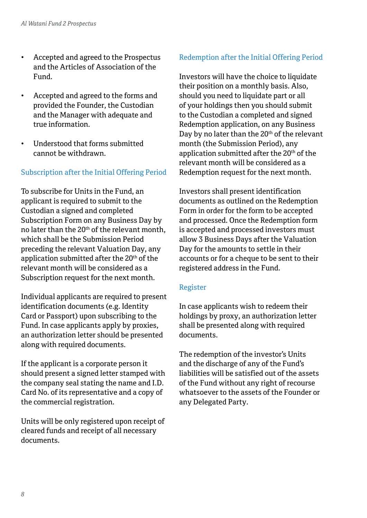- Accepted and agreed to the Prospectus and the Articles of Association of the Fund.
- Accepted and agreed to the forms and provided the Founder, the Custodian and the Manager with adequate and true information.
- Understood that forms submitted cannot be withdrawn.

# Subscription after the Initial Offering Period

To subscribe for Units in the Fund, an applicant is required to submit to the Custodian a signed and completed Subscription Form on any Business Day by no later than the 20th of the relevant month, which shall be the Submission Period preceding the relevant Valuation Day, any application submitted after the 20<sup>th</sup> of the relevant month will be considered as a Subscription request for the next month.

Individual applicants are required to present identification documents (e.g. Identity Card or Passport) upon subscribing to the Fund. In case applicants apply by proxies, an authorization letter should be presented along with required documents.

If the applicant is a corporate person it should present a signed letter stamped with the company seal stating the name and I.D. Card No. of its representative and a copy of the commercial registration.

Units will be only registered upon receipt of cleared funds and receipt of all necessary documents.

# Redemption after the Initial Offering Period

Investors will have the choice to liquidate their position on a monthly basis. Also, should you need to liquidate part or all of your holdings then you should submit to the Custodian a completed and signed Redemption application, on any Business Day by no later than the 20<sup>th</sup> of the relevant month (the Submission Period), any application submitted after the 20<sup>th</sup> of the relevant month will be considered as a Redemption request for the next month.

Investors shall present identification documents as outlined on the Redemption Form in order for the form to be accepted and processed. Once the Redemption form is accepted and processed investors must allow 3 Business Days after the Valuation Day for the amounts to settle in their accounts or for a cheque to be sent to their registered address in the Fund.

#### Register

In case applicants wish to redeem their holdings by proxy, an authorization letter shall be presented along with required documents.

The redemption of the investor's Units and the discharge of any of the Fund's liabilities will be satisfied out of the assets of the Fund without any right of recourse whatsoever to the assets of the Founder or any Delegated Party.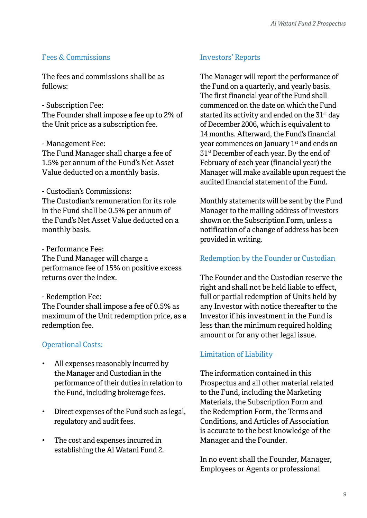#### Fees & Commissions

The fees and commissions shall be as follows:

- Subscription Fee:

The Founder shall impose a fee up to 2% of the Unit price as a subscription fee.

#### - Management Fee:

The Fund Manager shall charge a fee of 1.5% per annum of the Fund's Net Asset Value deducted on a monthly basis.

#### - Custodian's Commissions:

The Custodian's remuneration for its role in the Fund shall be 0.5% per annum of the Fund's Net Asset Value deducted on a monthly basis.

#### - Performance Fee:

The Fund Manager will charge a performance fee of 15% on positive excess returns over the index.

#### - Redemption Fee:

The Founder shall impose a fee of 0.5% as maximum of the Unit redemption price, as a redemption fee.

#### Operational Costs:

- All expenses reasonably incurred by the Manager and Custodian in the performance of their duties in relation to the Fund, including brokerage fees.
- Direct expenses of the Fund such as legal, regulatory and audit fees.
- The cost and expenses incurred in establishing the Al Watani Fund 2.

#### Investors' Reports

The Manager will report the performance of the Fund on a quarterly, and yearly basis. The first financial year of the Fund shall commenced on the date on which the Fund started its activity and ended on the 31<sup>st</sup> day of December 2006, which is equivalent to 14 months. Afterward, the Fund's financial year commences on January 1st and ends on 31st December of each year. By the end of February of each year (financial year) the Manager will make available upon request the audited financial statement of the Fund.

Monthly statements will be sent by the Fund Manager to the mailing address of investors shown on the Subscription Form, unless a notification of a change of address has been provided in writing.

#### Redemption by the Founder or Custodian

The Founder and the Custodian reserve the right and shall not be held liable to effect, full or partial redemption of Units held by any Investor with notice thereafter to the Investor if his investment in the Fund is less than the minimum required holding amount or for any other legal issue.

#### Limitation of Liability

The information contained in this Prospectus and all other material related to the Fund, including the Marketing Materials, the Subscription Form and the Redemption Form, the Terms and Conditions, and Articles of Association is accurate to the best knowledge of the Manager and the Founder.

In no event shall the Founder, Manager, Employees or Agents or professional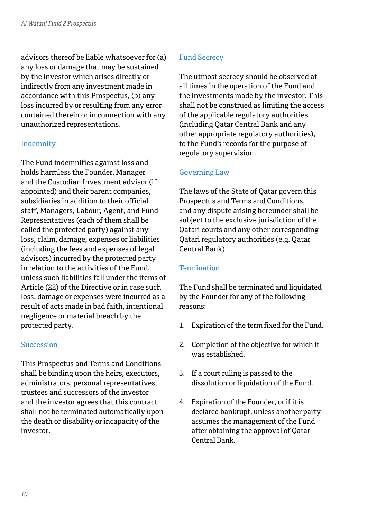advisors thereof be liable whatsoever for (a) any loss or damage that may be sustained by the investor which arises directly or indirectly from any investment made in accordance with this Prospectus, (b) any loss incurred by or resulting from any error contained therein or in connection with any unauthorized representations.

#### Indemnity

The Fund indemnifies against loss and holds harmless the Founder, Manager and the Custodian Investment advisor (if appointed) and their parent companies, subsidiaries in addition to their official staff, Managers, Labour, Agent, and Fund Representatives (each of them shall be called the protected party) against any loss, claim, damage, expenses or liabilities (including the fees and expenses of legal advisors) incurred by the protected party in relation to the activities of the Fund, unless such liabilities fall under the items of Article (22) of the Directive or in case such loss, damage or expenses were incurred as a result of acts made in bad faith, intentional negligence or material breach by the protected party.

#### **Succession**

This Prospectus and Terms and Conditions shall be binding upon the heirs, executors, administrators, personal representatives, trustees and successors of the investor and the investor agrees that this contract shall not be terminated automatically upon the death or disability or incapacity of the investor.

## Fund Secrecy

The utmost secrecy should be observed at all times in the operation of the Fund and the investments made by the investor. This shall not be construed as limiting the access of the applicable regulatory authorities (including Qatar Central Bank and any other appropriate regulatory authorities), to the Fund's records for the purpose of regulatory supervision.

# Governing Law

The laws of the State of Qatar govern this Prospectus and Terms and Conditions, and any dispute arising hereunder shall be subject to the exclusive jurisdiction of the Qatari courts and any other corresponding Qatari regulatory authorities (e.g. Qatar Central Bank).

#### **Termination**

The Fund shall be terminated and liquidated by the Founder for any of the following reasons:

- 1. Expiration of the term fixed for the Fund.
- 2. Completion of the objective for which it was established.
- 3. If a court ruling is passed to the dissolution or liquidation of the Fund.
- 4. Expiration of the Founder, or if it is declared bankrupt, unless another party assumes the management of the Fund after obtaining the approval of Qatar Central Bank.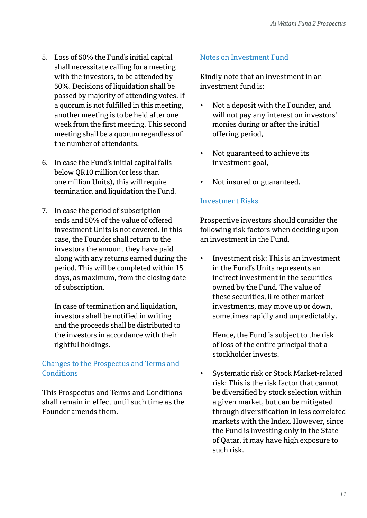- 5. Loss of 50% the Fund's initial capital shall necessitate calling for a meeting with the investors, to be attended by 50%. Decisions of liquidation shall be passed by majority of attending votes. If a quorum is not fulfilled in this meeting, another meeting is to be held after one week from the first meeting. This second meeting shall be a quorum regardless of the number of attendants.
- 6. In case the Fund's initial capital falls below QR10 million (or less than one million Units), this will require termination and liquidation the Fund.
- 7. In case the period of subscription ends and 50% of the value of offered investment Units is not covered. In this case, the Founder shall return to the investors the amount they have paid along with any returns earned during the period. This will be completed within 15 days, as maximum, from the closing date of subscription.

 In case of termination and liquidation, investors shall be notified in writing and the proceeds shall be distributed to the investors in accordance with their rightful holdings.

# Changes to the Prospectus and Terms and **Conditions**

This Prospectus and Terms and Conditions shall remain in effect until such time as the Founder amends them.

#### Notes on Investment Fund

Kindly note that an investment in an investment fund is:

- Not a deposit with the Founder, and will not pay any interest on investors' monies during or after the initial offering period,
- Not guaranteed to achieve its investment goal,
- Not insured or guaranteed.

# Investment Risks

Prospective investors should consider the following risk factors when deciding upon an investment in the Fund.

• Investment risk: This is an investment in the Fund's Units represents an indirect investment in the securities owned by the Fund. The value of these securities, like other market investments, may move up or down, sometimes rapidly and unpredictably.

 Hence, the Fund is subject to the risk of loss of the entire principal that a stockholder invests.

• Systematic risk or Stock Market-related risk: This is the risk factor that cannot be diversified by stock selection within a given market, but can be mitigated through diversification in less correlated markets with the Index. However, since the Fund is investing only in the State of Qatar, it may have high exposure to such risk.